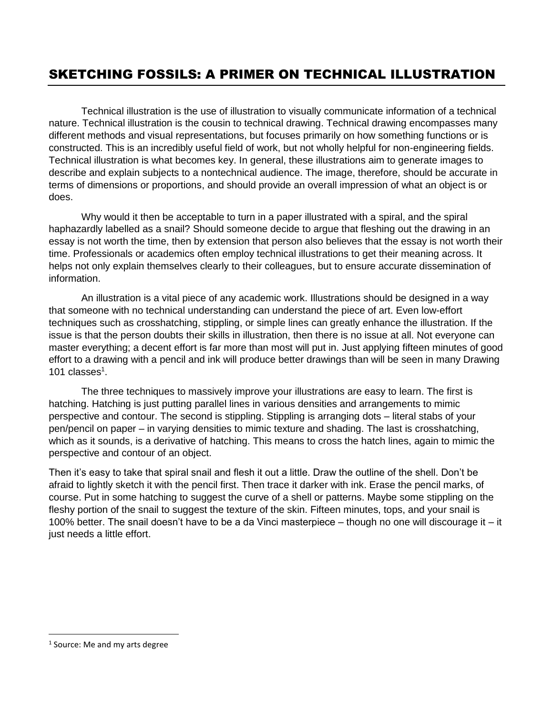### SKETCHING FOSSILS: A PRIMER ON TECHNICAL ILLUSTRATION

Technical illustration is the use of illustration to visually communicate information of a technical nature. Technical illustration is the cousin to technical drawing. Technical drawing encompasses many different methods and visual representations, but focuses primarily on how something functions or is constructed. This is an incredibly useful field of work, but not wholly helpful for non-engineering fields. Technical illustration is what becomes key. In general, these illustrations aim to generate images to describe and explain subjects to a nontechnical audience. The image, therefore, should be accurate in terms of dimensions or proportions, and should provide an overall impression of what an object is or does.

Why would it then be acceptable to turn in a paper illustrated with a spiral, and the spiral haphazardly labelled as a snail? Should someone decide to argue that fleshing out the drawing in an essay is not worth the time, then by extension that person also believes that the essay is not worth their time. Professionals or academics often employ technical illustrations to get their meaning across. It helps not only explain themselves clearly to their colleagues, but to ensure accurate dissemination of information.

An illustration is a vital piece of any academic work. Illustrations should be designed in a way that someone with no technical understanding can understand the piece of art. Even low-effort techniques such as crosshatching, stippling, or simple lines can greatly enhance the illustration. If the issue is that the person doubts their skills in illustration, then there is no issue at all. Not everyone can master everything; a decent effort is far more than most will put in. Just applying fifteen minutes of good effort to a drawing with a pencil and ink will produce better drawings than will be seen in many Drawing 101 classes $<sup>1</sup>$ .</sup>

The three techniques to massively improve your illustrations are easy to learn. The first is hatching. Hatching is just putting parallel lines in various densities and arrangements to mimic perspective and contour. The second is stippling. Stippling is arranging dots – literal stabs of your pen/pencil on paper – in varying densities to mimic texture and shading. The last is crosshatching, which as it sounds, is a derivative of hatching. This means to cross the hatch lines, again to mimic the perspective and contour of an object.

Then it's easy to take that spiral snail and flesh it out a little. Draw the outline of the shell. Don't be afraid to lightly sketch it with the pencil first. Then trace it darker with ink. Erase the pencil marks, of course. Put in some hatching to suggest the curve of a shell or patterns. Maybe some stippling on the fleshy portion of the snail to suggest the texture of the skin. Fifteen minutes, tops, and your snail is 100% better. The snail doesn't have to be a da Vinci masterpiece – though no one will discourage it – it just needs a little effort.

 $\overline{\phantom{a}}$ 

<sup>&</sup>lt;sup>1</sup> Source: Me and my arts degree